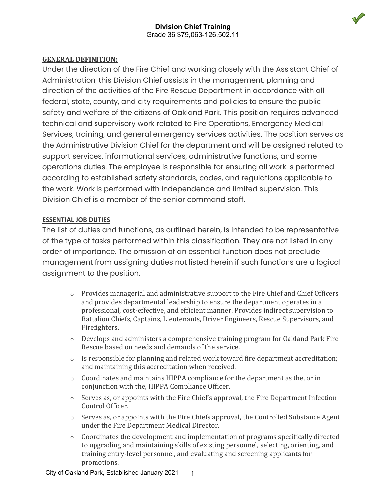

## **GENERAL DEFINITION:**

Under the direction of the Fire Chief and working closely with the Assistant Chief of Administration, this Division Chief assists in the management, planning and direction of the activities of the Fire Rescue Department in accordance with all federal, state, county, and city requirements and policies to ensure the public safety and welfare of the citizens of Oakland Park. This position requires advanced technical and supervisory work related to Fire Operations, Emergency Medical Services, training, and general emergency services activities. The position serves as the Administrative Division Chief for the department and will be assigned related to support services, informational services, administrative functions, and some operations duties. The employee is responsible for ensuring all work is performed according to established safety standards, codes, and regulations applicable to the work. Work is performed with independence and limited supervision. This Division Chief is a member of the senior command staff.

### **ESSENTIAL JOB DUTIES**

The list of duties and functions, as outlined herein, is intended to be representative of the type of tasks performed within this classification. They are not listed in any order of importance. The omission of an essential function does not preclude management from assigning duties not listed herein if such functions are a logical assignment to the position.

- o Provides managerial and administrative support to the Fire Chief and Chief Officers and provides departmental leadership to ensure the department operates in a professional, cost-effective, and efficient manner. Provides indirect supervision to Battalion Chiefs, Captains, Lieutenants, Driver Engineers, Rescue Supervisors, and Firefighters.
- $\circ$  Develops and administers a comprehensive training program for Oakland Park Fire Rescue based on needs and demands of the service.
- o Is responsible for planning and related work toward fire department accreditation; and maintaining this accreditation when received.
- o Coordinates and maintains HIPPA compliance for the department as the, or in conjunction with the, HIPPA Compliance Officer.
- $\circ$  Serves as, or appoints with the Fire Chief's approval, the Fire Department Infection Control Officer.
- o Serves as, or appoints with the Fire Chiefs approval, the Controlled Substance Agent under the Fire Department Medical Director.
- $\circ$  Coordinates the development and implementation of programs specifically directed to upgrading and maintaining skills of existing personnel, selecting, orienting, and training entry-level personnel, and evaluating and screening applicants for promotions.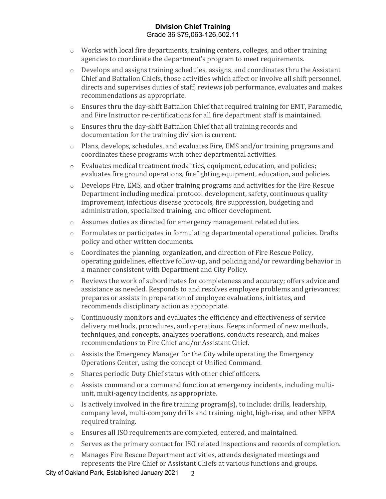- o Works with local fire departments, training centers, colleges, and other training agencies to coordinate the department's program to meet requirements.
- o Develops and assigns training schedules, assigns, and coordinates thru the Assistant Chief and Battalion Chiefs, those activities which affect or involve all shift personnel, directs and supervises duties of staff; reviews job performance, evaluates and makes recommendations as appropriate.
- $\circ$  Ensures thru the day-shift Battalion Chief that required training for EMT, Paramedic, and Fire Instructor re-certifications for all fire department staff is maintained.
- o Ensures thru the day-shift Battalion Chief that all training records and documentation for the training division is current.
- o Plans, develops, schedules, and evaluates Fire, EMS and/or training programs and coordinates these programs with other departmental activities.
- $\circ$  Evaluates medical treatment modalities, equipment, education, and policies; evaluates fire ground operations, firefighting equipment, education, and policies.
- o Develops Fire, EMS, and other training programs and activities for the Fire Rescue Department including medical protocol development, safety, continuous quality improvement, infectious disease protocols, fire suppression, budgeting and administration, specialized training, and officer development.
- o Assumes duties as directed for emergency management related duties.
- o Formulates or participates in formulating departmental operational policies. Drafts policy and other written documents.
- $\circ$  Coordinates the planning, organization, and direction of Fire Rescue Policy, operating guidelines, effective follow-up, and policing and/or rewarding behavior in a manner consistent with Department and City Policy.
- o Reviews the work of subordinates for completeness and accuracy; offers advice and assistance as needed. Responds to and resolves employee problems and grievances; prepares or assists in preparation of employee evaluations, initiates, and recommends disciplinary action as appropriate.
- $\circ$  Continuously monitors and evaluates the efficiency and effectiveness of service delivery methods, procedures, and operations. Keeps informed of new methods, techniques, and concepts, analyzes operations, conducts research, and makes recommendations to Fire Chief and/or Assistant Chief.
- $\circ$  Assists the Emergency Manager for the City while operating the Emergency Operations Center, using the concept of Unified Command.
- o Shares periodic Duty Chief status with other chief officers.
- o Assists command or a command function at emergency incidents, including multiunit, multi-agency incidents, as appropriate.
- o Is actively involved in the fire training program(s), to include: drills, leadership, company level, multi-company drills and training, night, high-rise, and other NFPA required training.
- o Ensures all ISO requirements are completed, entered, and maintained.
- o Serves as the primary contact for ISO related inspections and records of completion.
- o Manages Fire Rescue Department activities, attends designated meetings and represents the Fire Chief or Assistant Chiefs at various functions and groups.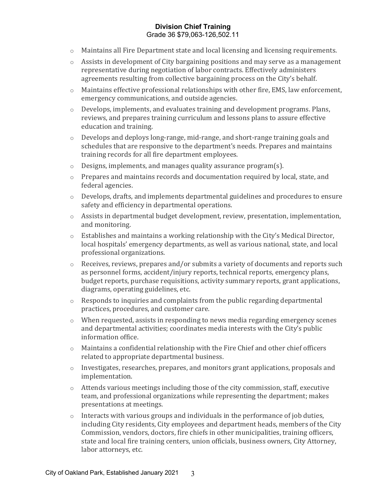- o Maintains all Fire Department state and local licensing and licensing requirements.
- o Assists in development of City bargaining positions and may serve as a management representative during negotiation of labor contracts. Effectively administers agreements resulting from collective bargaining process on the City's behalf.
- $\circ$  Maintains effective professional relationships with other fire, EMS, law enforcement, emergency communications, and outside agencies.
- $\circ$  Develops, implements, and evaluates training and development programs. Plans, reviews, and prepares training curriculum and lessons plans to assure effective education and training.
- o Develops and deploys long-range, mid-range, and short-range training goals and schedules that are responsive to the department's needs. Prepares and maintains training records for all fire department employees.
- o Designs, implements, and manages quality assurance program(s).
- o Prepares and maintains records and documentation required by local, state, and federal agencies.
- o Develops, drafts, and implements departmental guidelines and procedures to ensure safety and efficiency in departmental operations.
- $\circ$  Assists in departmental budget development, review, presentation, implementation, and monitoring.
- o Establishes and maintains a working relationship with the City's Medical Director, local hospitals' emergency departments, as well as various national, state, and local professional organizations.
- o Receives, reviews, prepares and/or submits a variety of documents and reports such as personnel forms, accident/injury reports, technical reports, emergency plans, budget reports, purchase requisitions, activity summary reports, grant applications, diagrams, operating guidelines, etc.
- $\circ$  Responds to inquiries and complaints from the public regarding departmental practices, procedures, and customer care.
- $\circ$  When requested, assists in responding to news media regarding emergency scenes and departmental activities; coordinates media interests with the City's public information office.
- $\circ$  Maintains a confidential relationship with the Fire Chief and other chief officers related to appropriate departmental business.
- o Investigates, researches, prepares, and monitors grant applications, proposals and implementation.
- o Attends various meetings including those of the city commission, staff, executive team, and professional organizations while representing the department; makes presentations at meetings.
- o Interacts with various groups and individuals in the performance of job duties, including City residents, City employees and department heads, members of the City Commission, vendors, doctors, fire chiefs in other municipalities, training officers, state and local fire training centers, union officials, business owners, City Attorney, labor attorneys, etc.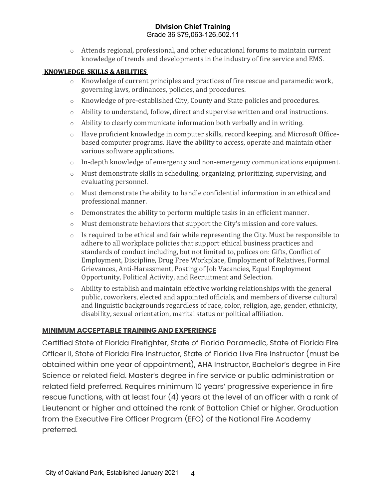o Attends regional, professional, and other educational forums to maintain current knowledge of trends and developments in the industry of fire service and EMS.

#### **KNOWLEDGE, SKILLS & ABILITIES**

- o Knowledge of current principles and practices of fire rescue and paramedic work, governing laws, ordinances, policies, and procedures.
- o Knowledge of pre-established City, County and State policies and procedures.
- $\circ$  Ability to understand, follow, direct and supervise written and oral instructions.
- o Ability to clearly communicate information both verbally and in writing.
- o Have proficient knowledge in computer skills, record keeping, and Microsoft Officebased computer programs. Have the ability to access, operate and maintain other various software applications.
- o In-depth knowledge of emergency and non-emergency communications equipment.
- o Must demonstrate skills in scheduling, organizing, prioritizing, supervising, and evaluating personnel.
- $\circ$  Must demonstrate the ability to handle confidential information in an ethical and professional manner.
- $\circ$  Demonstrates the ability to perform multiple tasks in an efficient manner.
- o Must demonstrate behaviors that support the City's mission and core values.
- $\circ$  Is required to be ethical and fair while representing the City. Must be responsible to adhere to all workplace policies that support ethical business practices and standards of conduct including, but not limited to, polices on: Gifts, Conflict of Employment, Discipline, Drug Free Workplace, Employment of Relatives, Formal Grievances, Anti-Harassment, Posting of Job Vacancies, Equal Employment Opportunity, Political Activity, and Recruitment and Selection.
- $\circ$  Ability to establish and maintain effective working relationships with the general public, coworkers, elected and appointed officials, and members of diverse cultural and linguistic backgrounds regardless of race, color, religion, age, gender, ethnicity, disability, sexual orientation, marital status or political affiliation.

# **MINIMUM ACCEPTABLE TRAINING AND EXPERIENCE**

Certified State of Florida Firefighter, State of Florida Paramedic, State of Florida Fire Officer II, State of Florida Fire Instructor, State of Florida Live Fire Instructor (must be obtained within one year of appointment), AHA Instructor, Bachelor's degree in Fire Science or related field. Master's degree in fire service or public administration or related field preferred. Requires minimum 10 years' progressive experience in fire rescue functions, with at least four (4) years at the level of an officer with a rank of Lieutenant or higher and attained the rank of Battalion Chief or higher. Graduation from the Executive Fire Officer Program (EFO) of the National Fire Academy preferred.